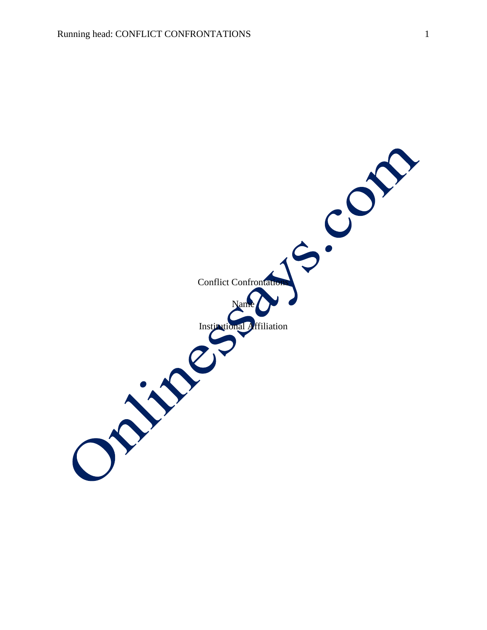$\frac{1}{2} \cdot \frac{1}{2}$ Conflict Confrontatio Name Institutional Affiliation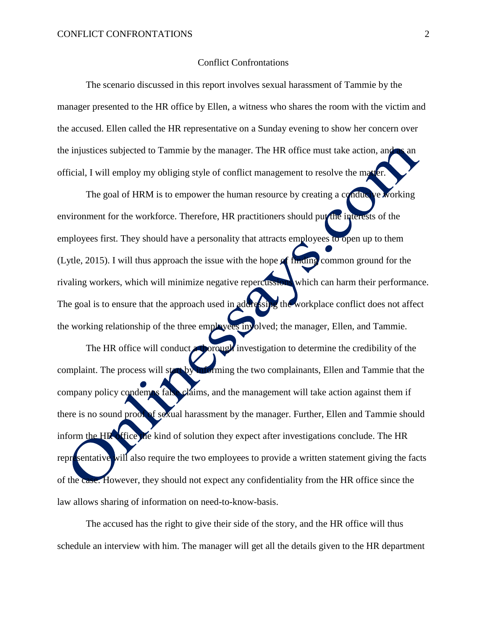## Conflict Confrontations

The scenario discussed in this report involves sexual harassment of Tammie by the manager presented to the HR office by Ellen, a witness who shares the room with the victim and the accused. Ellen called the HR representative on a Sunday evening to show her concern over the injustices subjected to Tammie by the manager. The HR office must take action, and official, I will employ my obliging style of conflict management to resolve the matter.

The goal of HRM is to empower the human resource by creating a conducive working environment for the workforce. Therefore, HR practitioners should put the interests of the employees first. They should have a personality that attracts employees to open up to them (Lytle, 2015). I will thus approach the issue with the hope of finding common ground for the rivaling workers, which will minimize negative repercussions which can harm their performance. The goal is to ensure that the approach used in addressing the workplace conflict does not affect the working relationship of the three employees involved; the manager, Ellen, and Tammie.

The HR office will conduct **a thorough** investigation to determine the credibility of the complaint. The process will start by informing the two complainants, Ellen and Tammie that the company policy condemns false claims, and the management will take action against them if there is no sound proof of sexual harassment by the manager. Further, Ellen and Tammie should inform the HR office the kind of solution they expect after investigations conclude. The HR representative will also require the two employees to provide a written statement giving the facts of the case. However, they should not expect any confidentiality from the HR office since the law allows sharing of information on need-to-know-basis.

The accused has the right to give their side of the story, and the HR office will thus schedule an interview with him. The manager will get all the details given to the HR department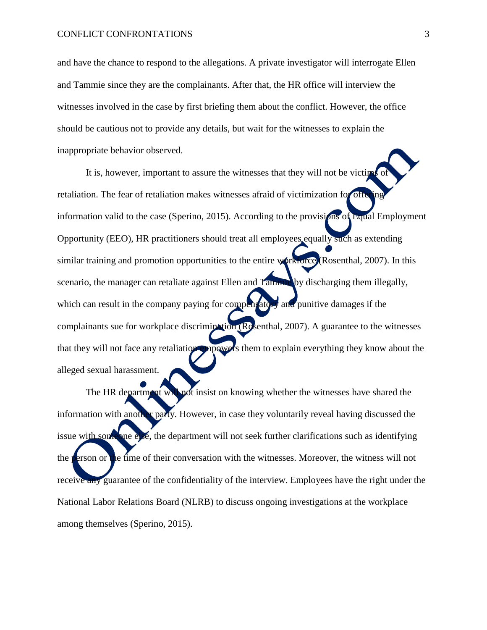and have the chance to respond to the allegations. A private investigator will interrogate Ellen and Tammie since they are the complainants. After that, the HR office will interview the witnesses involved in the case by first briefing them about the conflict. However, the office should be cautious not to provide any details, but wait for the witnesses to explain the inappropriate behavior observed.

It is, however, important to assure the witnesses that they will not be victim retaliation. The fear of retaliation makes witnesses afraid of victimization for offering information valid to the case (Sperino, 2015). According to the provisions of Equal Employment Opportunity (EEO), HR practitioners should treat all employees equally such as extending similar training and promotion opportunities to the entire workforce (Rosenthal, 2007). In this scenario, the manager can retaliate against Ellen and Tammie by discharging them illegally, which can result in the company paying for compensatory and punitive damages if the complainants sue for workplace discrimination (Rosenthal, 2007). A guarantee to the witnesses that they will not face any retaliation empowers them to explain everything they know about the alleged sexual harassment.

The HR department will not insist on knowing whether the witnesses have shared the information with another party. However, in case they voluntarily reveal having discussed the issue with someone else, the department will not seek further clarifications such as identifying the person or the time of their conversation with the witnesses. Moreover, the witness will not receive any guarantee of the confidentiality of the interview. Employees have the right under the National Labor Relations Board (NLRB) to discuss ongoing investigations at the workplace among themselves (Sperino, 2015).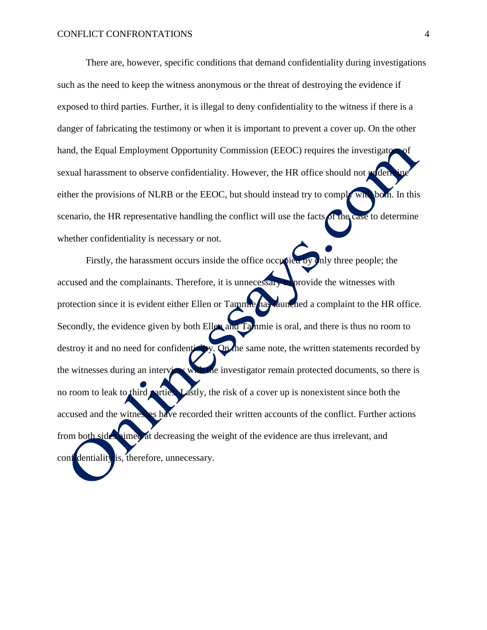There are, however, specific conditions that demand confidentiality during investigations such as the need to keep the witness anonymous or the threat of destroying the evidence if exposed to third parties. Further, it is illegal to deny confidentiality to the witness if there is a danger of fabricating the testimony or when it is important to prevent a cover up. On the other hand, the Equal Employment Opportunity Commission (EEOC) requires the investigators of the intersexual harassment to observe confidentiality. However, the HR office should not write either the provisions of NLRB or the EEOC, but should instead try to comply with both. In this scenario, the HR representative handling the conflict will use the facts of the case to determine whether confidentiality is necessary or not.

Firstly, the harassment occurs inside the office occupied by only three people; the accused and the complainants. Therefore, it is unnecessary to provide the witnesses with protection since it is evident either Ellen or Tammie has launched a complaint to the HR office. Secondly, the evidence given by both Ellen and Tammie is oral, and there is thus no room to destroy it and no need for confidentially. On the same note, the written statements recorded by the witnesses during an interview with the investigator remain protected documents, so there is no room to leak to third parties. Lastly, the risk of a cover up is nonexistent since both the accused and the witnesses have recorded their written accounts of the conflict. Further actions from both sides aimed at decreasing the weight of the evidence are thus irrelevant, and confidentiality is, therefore, unnecessary.